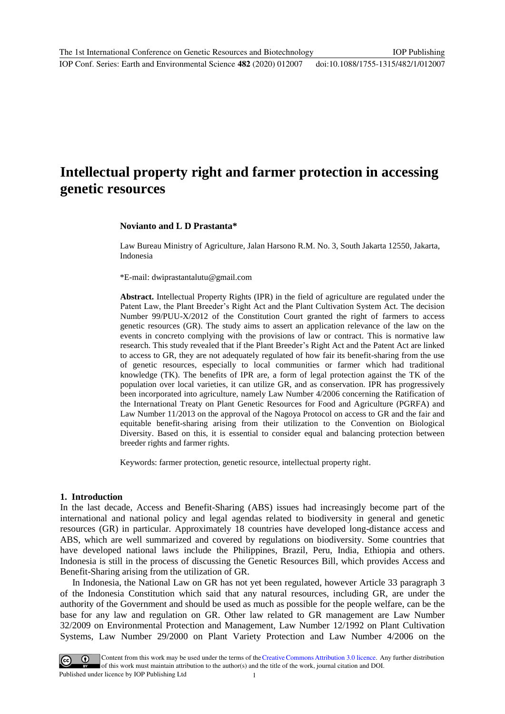# **Intellectual property right and farmer protection in accessing genetic resources**

#### **Novianto and L D Prastanta\***

Law Bureau Ministry of Agriculture, Jalan Harsono R.M. No. 3, South Jakarta 12550, Jakarta, Indonesia

\*E-mail: dwiprastantalutu@gmail.com

**Abstract.** Intellectual Property Rights (IPR) in the field of agriculture are regulated under the Patent Law, the Plant Breeder's Right Act and the Plant Cultivation System Act. The decision Number 99/PUU-X/2012 of the Constitution Court granted the right of farmers to access genetic resources (GR). The study aims to assert an application relevance of the law on the events in concreto complying with the provisions of law or contract. This is normative law research. This study revealed that if the Plant Breeder's Right Act and the Patent Act are linked to access to GR, they are not adequately regulated of how fair its benefit-sharing from the use of genetic resources, especially to local communities or farmer which had traditional knowledge (TK). The benefits of IPR are, a form of legal protection against the TK of the population over local varieties, it can utilize GR, and as conservation. IPR has progressively been incorporated into agriculture, namely Law Number 4/2006 concerning the Ratification of the International Treaty on Plant Genetic Resources for Food and Agriculture (PGRFA) and Law Number 11/2013 on the approval of the Nagoya Protocol on access to GR and the fair and equitable benefit-sharing arising from their utilization to the Convention on Biological Diversity. Based on this, it is essential to consider equal and balancing protection between breeder rights and farmer rights.

Keywords: farmer protection, genetic resource, intellectual property right.

#### **1. Introduction**

In the last decade, Access and Benefit-Sharing (ABS) issues had increasingly become part of the international and national policy and legal agendas related to biodiversity in general and genetic resources (GR) in particular. Approximately 18 countries have developed long-distance access and ABS, which are well summarized and covered by regulations on biodiversity. Some countries that have developed national laws include the Philippines, Brazil, Peru, India, Ethiopia and others. Indonesia is still in the process of discussing the Genetic Resources Bill, which provides Access and Benefit-Sharing arising from the utilization of GR.

In Indonesia, the National Law on GR has not yet been regulated, however Article 33 paragraph 3 of the Indonesia Constitution which said that any natural resources, including GR, are under the authority of the Government and should be used as much as possible for the people welfare, can be the base for any law and regulation on GR. Other law related to GR management are Law Number 32/2009 on Environmental Protection and Management, Law Number 12/1992 on Plant Cultivation Systems, Law Number 29/2000 on Plant Variety Protection and Law Number 4/2006 on the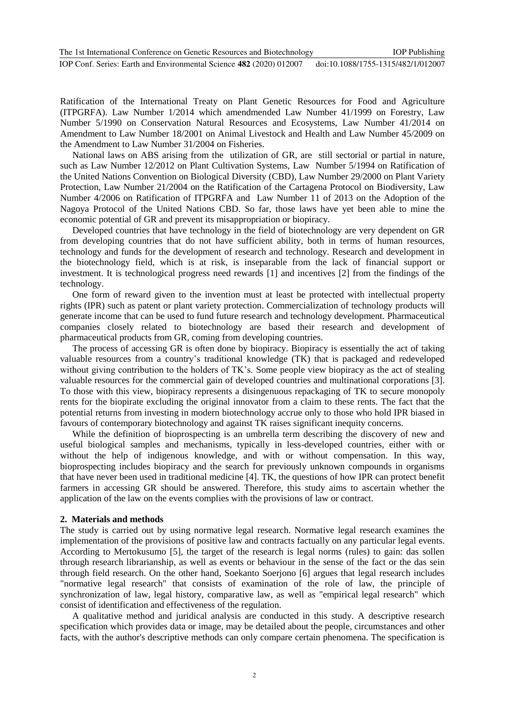Ratification of the International Treaty on Plant Genetic Resources for Food and Agriculture (ITPGRFA). Law Number 1/2014 which amendmended Law Number 41/1999 on Forestry, Law Number 5/1990 on Conservation Natural Resources and Ecosystems, Law Number 41/2014 on Amendment to Law Number 18/2001 on Animal Livestock and Health and Law Number 45/2009 on the Amendment to Law Number 31/2004 on Fisheries.

National laws on ABS arising from the utilization of GR, are still sectorial or partial in nature, such as Law Number 12/2012 on Plant Cultivation Systems, Law Number 5/1994 on Ratification of the United Nations Convention on Biological Diversity (CBD), Law Number 29/2000 on Plant Variety Protection, Law Number 21/2004 on the Ratification of the Cartagena Protocol on Biodiversity, Law Number 4/2006 on Ratification of ITPGRFA and Law Number 11 of 2013 on the Adoption of the Nagoya Protocol of the United Nations CBD. So far, those laws have yet been able to mine the economic potential of GR and prevent its misappropriation or biopiracy.

Developed countries that have technology in the field of biotechnology are very dependent on GR from developing countries that do not have sufficient ability, both in terms of human resources, technology and funds for the development of research and technology. Research and development in the biotechnology field, which is at risk, is inseparable from the lack of financial support or investment. It is technological progress need rewards [1] and incentives [2] from the findings of the technology.

One form of reward given to the invention must at least be protected with intellectual property rights (IPR) such as patent or plant variety protection. Commercialization of technology products will generate income that can be used to fund future research and technology development. Pharmaceutical companies closely related to biotechnology are based their research and development of pharmaceutical products from GR, coming from developing countries.

The process of accessing GR is often done by biopiracy. Biopiracy is essentially the act of taking valuable resources from a country's traditional knowledge (TK) that is packaged and redeveloped without giving contribution to the holders of TK's. Some people view biopiracy as the act of stealing valuable resources for the commercial gain of developed countries and multinational corporations [3]. To those with this view, biopiracy represents a disingenuous repackaging of TK to secure monopoly rents for the biopirate excluding the original innovator from a claim to these rents. The fact that the potential returns from investing in modern biotechnology accrue only to those who hold IPR biased in favours of contemporary biotechnology and against TK raises significant inequity concerns.

While the definition of bioprospecting is an umbrella term describing the discovery of new and useful biological samples and mechanisms, typically in less-developed countries, either with or without the help of indigenous knowledge, and with or without compensation. In this way, bioprospecting includes biopiracy and the search for previously unknown compounds in organisms that have never been used in traditional medicine [4]. TK, the questions of how IPR can protect benefit farmers in accessing GR should be answered. Therefore, this study aims to ascertain whether the application of the law on the events complies with the provisions of law or contract.

## **2. Materials and methods**

The study is carried out by using normative legal research. Normative legal research examines the implementation of the provisions of positive law and contracts factually on any particular legal events. According to Mertokusumo [5], the target of the research is legal norms (rules) to gain: das sollen through research librarianship, as well as events or behaviour in the sense of the fact or the das sein through field research. On the other hand, Soekanto Soerjono [6] argues that legal research includes "normative legal research" that consists of examination of the role of law, the principle of synchronization of law, legal history, comparative law, as well as "empirical legal research" which consist of identification and effectiveness of the regulation.

A qualitative method and juridical analysis are conducted in this study. A descriptive research specification which provides data or image, may be detailed about the people, circumstances and other facts, with the author's descriptive methods can only compare certain phenomena. The specification is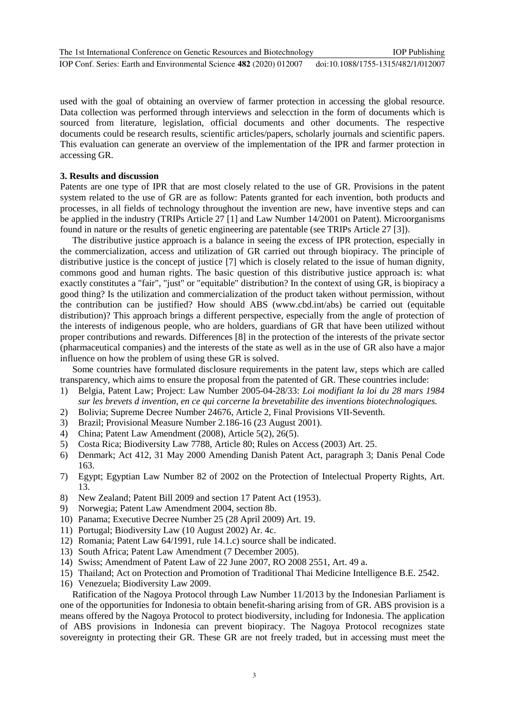used with the goal of obtaining an overview of farmer protection in accessing the global resource. Data collection was performed through interviews and selecction in the form of documents which is sourced from literature, legislation, official documents and other documents. The respective documents could be research results, scientific articles/papers, scholarly journals and scientific papers. This evaluation can generate an overview of the implementation of the IPR and farmer protection in accessing GR.

# **3. Results and discussion**

Patents are one type of IPR that are most closely related to the use of GR. Provisions in the patent system related to the use of GR are as follow: Patents granted for each invention, both products and processes, in all fields of technology throughout the invention are new, have inventive steps and can be applied in the industry (TRIPs Article 27 [1] and Law Number 14/2001 on Patent). Microorganisms found in nature or the results of genetic engineering are patentable (see TRIPs Article 27 [3]).

The distributive justice approach is a balance in seeing the excess of IPR protection, especially in the commercialization, access and utilization of GR carried out through biopiracy. The principle of distributive justice is the concept of justice [7] which is closely related to the issue of human dignity, commons good and human rights. The basic question of this distributive justice approach is: what exactly constitutes a "fair", "just" or "equitable" distribution? In the context of using GR, is biopiracy a good thing? Is the utilization and commercialization of the product taken without permission, without the contribution can be justified? How should ABS (www.cbd.int/abs) be carried out (equitable distribution)? This approach brings a different perspective, especially from the angle of protection of the interests of indigenous people, who are holders, guardians of GR that have been utilized without proper contributions and rewards. Differences [8] in the protection of the interests of the private sector (pharmaceutical companies) and the interests of the state as well as in the use of GR also have a major influence on how the problem of using these GR is solved.

Some countries have formulated disclosure requirements in the patent law, steps which are called transparency, which aims to ensure the proposal from the patented of GR. These countries include:

- 1) Belgia, Patent Law; Project: Law Number 2005-04-28/33: *Loi modifiant la loi du 28 mars 1984 sur les brevets d invention, en ce qui corcerne la brevetabilite des inventions biotechnologiques.*
- 2) Bolivia; Supreme Decree Number 24676, Article 2, Final Provisions VII-Seventh.
- 3) Brazil; Provisional Measure Number 2.186-16 (23 August 2001).
- 4) China; Patent Law Amendment (2008), Article 5(2), 26(5).
- 5) Costa Rica; Biodiversity Law 7788, Article 80; Rules on Access (2003) Art. 25.
- 6) Denmark; Act 412, 31 May 2000 Amending Danish Patent Act, paragraph 3; Danis Penal Code 163.
- 7) Egypt; Egyptian Law Number 82 of 2002 on the Protection of Intelectual Property Rights, Art. 13.
- 8) New Zealand; Patent Bill 2009 and section 17 Patent Act (1953).
- 9) Norwegia; Patent Law Amendment 2004, section 8b.
- 10) Panama; Executive Decree Number 25 (28 April 2009) Art. 19.
- 11) Portugal; Biodiversity Law (10 August 2002) Ar. 4c.
- 12) Romania; Patent Law 64/1991, rule 14.1.c) source shall be indicated.
- 13) South Africa; Patent Law Amendment (7 December 2005).
- 14) Swiss; Amendment of Patent Law of 22 June 2007, RO 2008 2551, Art. 49 a.
- 15) Thailand; Act on Protection and Promotion of Traditional Thai Medicine Intelligence B.E. 2542.
- 16) Venezuela; Biodiversity Law 2009.

Ratification of the Nagoya Protocol through Law Number 11/2013 by the Indonesian Parliament is one of the opportunities for Indonesia to obtain benefit-sharing arising from of GR. ABS provision is a means offered by the Nagoya Protocol to protect biodiversity, including for Indonesia. The application of ABS provisions in Indonesia can prevent biopiracy. The Nagoya Protocol recognizes state sovereignty in protecting their GR. These GR are not freely traded, but in accessing must meet the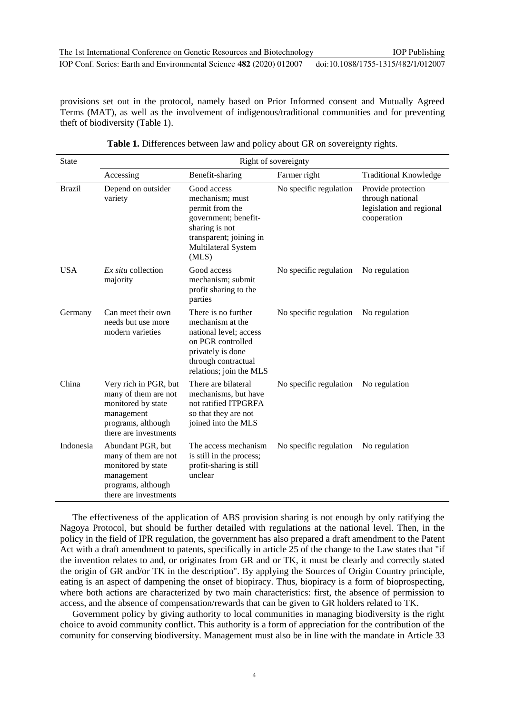provisions set out in the protocol, namely based on Prior Informed consent and Mutually Agreed Terms (MAT), as well as the involvement of indigenous/traditional communities and for preventing theft of biodiversity (Table 1).

| <b>State</b>  | Right of sovereignty                                                                                                             |                                                                                                                                                               |                        |                                                                                   |
|---------------|----------------------------------------------------------------------------------------------------------------------------------|---------------------------------------------------------------------------------------------------------------------------------------------------------------|------------------------|-----------------------------------------------------------------------------------|
|               | Accessing                                                                                                                        | Benefit-sharing                                                                                                                                               | Farmer right           | <b>Traditional Knowledge</b>                                                      |
| <b>Brazil</b> | Depend on outsider<br>variety                                                                                                    | Good access<br>mechanism; must<br>permit from the<br>government; benefit-<br>sharing is not<br>transparent; joining in<br>Multilateral System<br>(MLS)        | No specific regulation | Provide protection<br>through national<br>legislation and regional<br>cooperation |
| <b>USA</b>    | Ex situ collection<br>majority                                                                                                   | Good access<br>mechanism; submit<br>profit sharing to the<br>parties                                                                                          | No specific regulation | No regulation                                                                     |
| Germany       | Can meet their own<br>needs but use more<br>modern varieties                                                                     | There is no further<br>mechanism at the<br>national level; access<br>on PGR controlled<br>privately is done<br>through contractual<br>relations; join the MLS | No specific regulation | No regulation                                                                     |
| China         | Very rich in PGR, but<br>many of them are not<br>monitored by state<br>management<br>programs, although<br>there are investments | There are bilateral<br>mechanisms, but have<br>not ratified ITPGRFA<br>so that they are not<br>joined into the MLS                                            | No specific regulation | No regulation                                                                     |
| Indonesia     | Abundant PGR, but<br>many of them are not<br>monitored by state<br>management<br>programs, although<br>there are investments     | The access mechanism<br>is still in the process;<br>profit-sharing is still<br>unclear                                                                        | No specific regulation | No regulation                                                                     |

Table 1. Differences between law and policy about GR on sovereignty rights.

The effectiveness of the application of ABS provision sharing is not enough by only ratifying the Nagoya Protocol, but should be further detailed with regulations at the national level. Then, in the policy in the field of IPR regulation, the government has also prepared a draft amendment to the Patent Act with a draft amendment to patents, specifically in article 25 of the change to the Law states that "if the invention relates to and, or originates from GR and or TK, it must be clearly and correctly stated the origin of GR and/or TK in the description". By applying the Sources of Origin Country principle, eating is an aspect of dampening the onset of biopiracy. Thus, biopiracy is a form of bioprospecting, where both actions are characterized by two main characteristics: first, the absence of permission to access, and the absence of compensation/rewards that can be given to GR holders related to TK.

Government policy by giving authority to local communities in managing biodiversity is the right choice to avoid community conflict. This authority is a form of appreciation for the contribution of the comunity for conserving biodiversity. Management must also be in line with the mandate in Article 33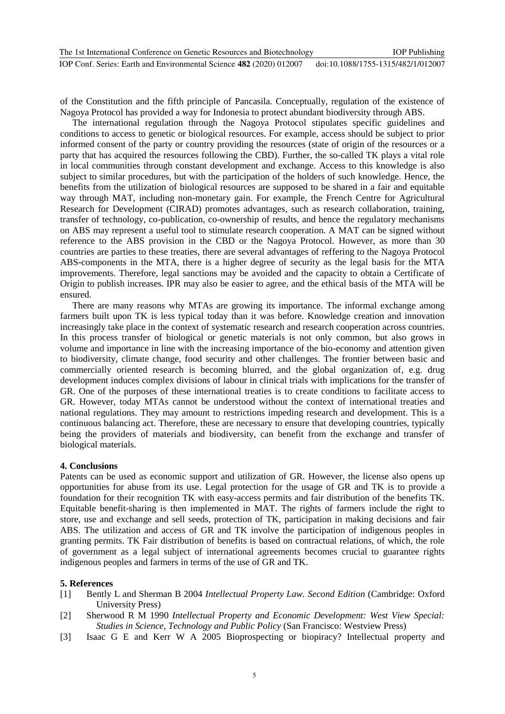of the Constitution and the fifth principle of Pancasila. Conceptually, regulation of the existence of Nagoya Protocol has provided a way for Indonesia to protect abundant biodiversity through ABS.

The international regulation through the Nagoya Protocol stipulates specific guidelines and conditions to access to genetic or biological resources. For example, access should be subject to prior informed consent of the party or country providing the resources (state of origin of the resources or a party that has acquired the resources following the CBD). Further, the so-called TK plays a vital role in local communities through constant development and exchange. Access to this knowledge is also subject to similar procedures, but with the participation of the holders of such knowledge. Hence, the benefits from the utilization of biological resources are supposed to be shared in a fair and equitable way through MAT, including non-monetary gain. For example, the French Centre for Agricultural Research for Development (CIRAD) promotes advantages, such as research collaboration, training, transfer of technology, co-publication, co-ownership of results, and hence the regulatory mechanisms on ABS may represent a useful tool to stimulate research cooperation. A MAT can be signed without reference to the ABS provision in the CBD or the Nagoya Protocol. However, as more than 30 countries are parties to these treaties, there are several advantages of reffering to the Nagoya Protocol ABS-components in the MTA, there is a higher degree of security as the legal basis for the MTA improvements. Therefore, legal sanctions may be avoided and the capacity to obtain a Certificate of Origin to publish increases. IPR may also be easier to agree, and the ethical basis of the MTA will be ensured.

There are many reasons why MTAs are growing its importance. The informal exchange among farmers built upon TK is less typical today than it was before. Knowledge creation and innovation increasingly take place in the context of systematic research and research cooperation across countries. In this process transfer of biological or genetic materials is not only common, but also grows in volume and importance in line with the increasing importance of the bio-economy and attention given to biodiversity, climate change, food security and other challenges. The frontier between basic and commercially oriented research is becoming blurred, and the global organization of, e.g. drug development induces complex divisions of labour in clinical trials with implications for the transfer of GR. One of the purposes of these international treaties is to create conditions to facilitate access to GR. However, today MTAs cannot be understood without the context of international treaties and national regulations. They may amount to restrictions impeding research and development. This is a continuous balancing act. Therefore, these are necessary to ensure that developing countries, typically being the providers of materials and biodiversity, can benefit from the exchange and transfer of biological materials.

# **4. Conclusions**

Patents can be used as economic support and utilization of GR. However, the license also opens up opportunities for abuse from its use. Legal protection for the usage of GR and TK is to provide a foundation for their recognition TK with easy-access permits and fair distribution of the benefits TK. Equitable benefit-sharing is then implemented in MAT. The rights of farmers include the right to store, use and exchange and sell seeds, protection of TK, participation in making decisions and fair ABS. The utilization and access of GR and TK involve the participation of indigenous peoples in granting permits. TK Fair distribution of benefits is based on contractual relations, of which, the role of government as a legal subject of international agreements becomes crucial to guarantee rights indigenous peoples and farmers in terms of the use of GR and TK.

## **5. References**

- [1] Bently L and Sherman B 2004 *Intellectual Property Law. Second Edition* (Cambridge: Oxford University Press)
- [2] Sherwood R M 1990 *Intellectual Property and Economic Development: West View Special: Studies in Science, Technology and Public Policy* (San Francisco: Westview Press)
- [3] Isaac G E and Kerr W A 2005 Bioprospecting or biopiracy? Intellectual property and